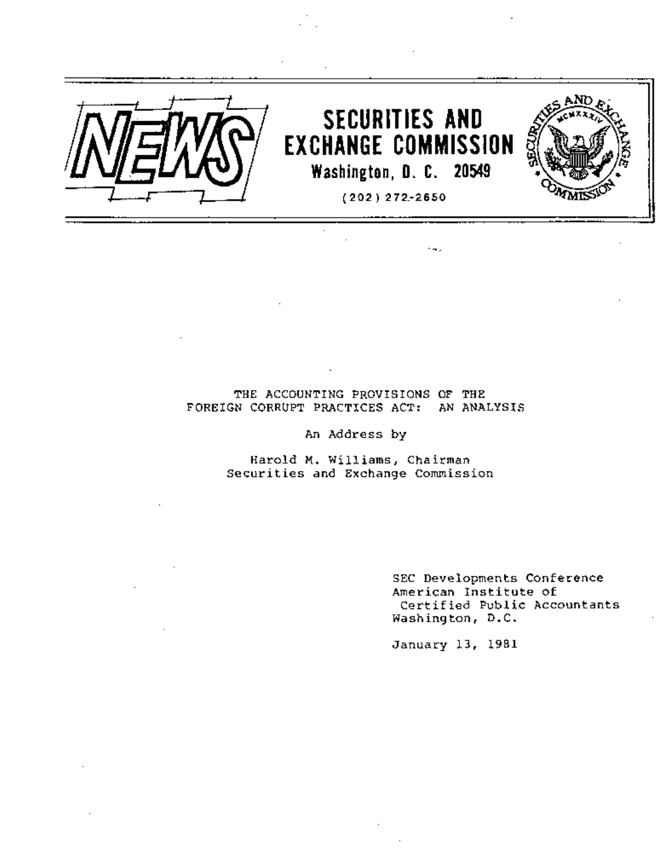

# **THE ACCOUNTING PROVISIONS OF THE** FOREIGN CORRUPT PRACTICES ACT: AN ANALYSIS

An Address by

Harold M. Williams, Chairman Securities and Exchange Commission

> SEC Developments Conference American Institute of Certified Public Accountants Washington, D.C.

January 13, 1981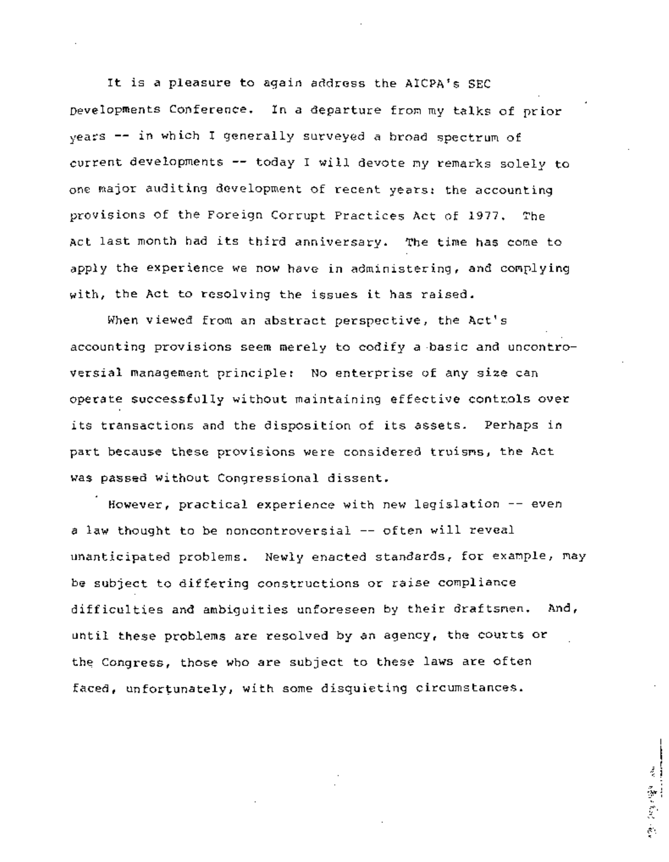It is a pleasure to again address the AICPA's SEC Developments Conference. In a departure from my talks of prior years -- in which I generally surveyed a broad spectrum of current developments -- today I will devote my remarks solely to one major auditing development of recent years: the accounting provisions of the Foreign Corrupt Practices Act of 1977. The Act last month had its third anniversary. The time has come to apply the experience we now have in administering, and complying with, the Act to resolving the issues it has raised.

When viewed from an abstract perspective, the Act's accounting provisions seem merely to Codify a basic and uncontroversial management principle: No enterprise of any size can operate successfully without maintaining effective controls over its transactions and the disposition of its assets. Perhaps in part because these provisions were considered truisms, the Act was passed without Congressional dissent.

However, practical experience with new legislation -- even a law thought to be noncontroversial -- often will reveal unanticipated problems. Newly enacted standards, for example, may be subject to differing constructions or raise compliance difficulties and ambiguities unforeseen by their draftsmen. And, until these problems are resolved by an agency, the courts or the Congress, those who are subject to these laws are often faced, unfortunately, with some disquieting circumstances.

医生态 前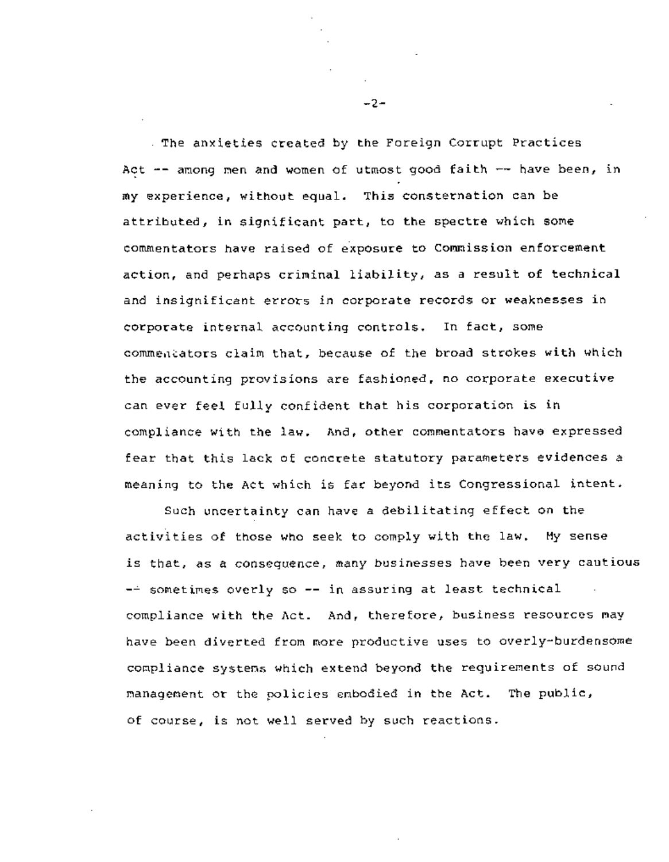The anxieties created by the Foreign Corrupt Practices Act  $-$  among men and women of utmost good faith  $-$  have been, in my experience, without equal. This consternation can be attributed, in significant part, to the spectre which some commentators have raised of exposure to Commission enforcement action, and perhaps criminal liability, as a result of technical and insignificant errors in corporate records or weaknesses in corporate internal accounting controls. In fact, some commentators claim that, because of the broad strokes with which the accounting provisions are fashioned, no corporate executive can ever feel fully confident that his corporation is in compliance with the law. And, other commentators have expressed fear that this lack of concrete statutory parameters evidences a meaning to the Act which is far beyond its Congressional intent.

Such uncertainty can have a debilitating effect on the activities of those who seek to comply with the law. My sense is that, as a consequence, many businesses have been very cautious -- sometimes overly so -- in assuring at least technical compliance with the Act. And, therefore, business resources may have been diverted from more productive uses to overly-burdensome compliance systems which extend beyond the requirements of sound management or the policies embodied in the Act. The public, of course, is not well served by such reactions.

**-2-**

°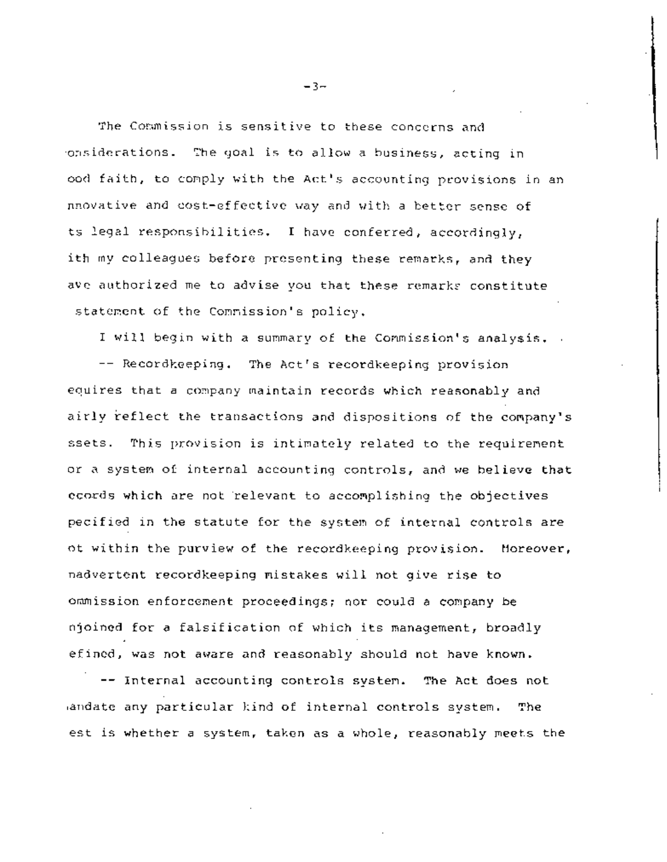The Commission is sensitive to these concerns and ~onsiderations. The goal is to allow a business, acting in ood faith, to comply with the Act's accounting provisions in an nnovative and cost-effective way and with a better sense of ts legal responsibilities. I have conferred, accordingly, ith my colleagues before presenting these remarks, and they ave authorized me to advise you that these remarks constitute statement of the Commission's policy.

I wil! begin with a summary of the Commission's analysis.

-- Recordkeeping. The Act's recordkeeping provision equires that a company maintain records which reasonably and airly reflect the transactions and dispositions of the company's ssets. This provision is intimately related to the requirement or a system of internal accounting controls, and we believe that ecords which are not relevant to accomplishing the objectives pecified in the statute for the system of internal controls are ot within the purview of the recordkeeping provision. Moreover, nadvertent recordkeeping mistakes will not give rise to :ommission enforcement proceedings; nor could a company be njoined for a falsification of which its management, broadly efined, was not aware and reasonably should not have known.

-- Internal accounting controls system. The Act does not landate any particular kind of internal controls system. The est is whether a system, taken as a whole, reasonably meets the

 $-3-$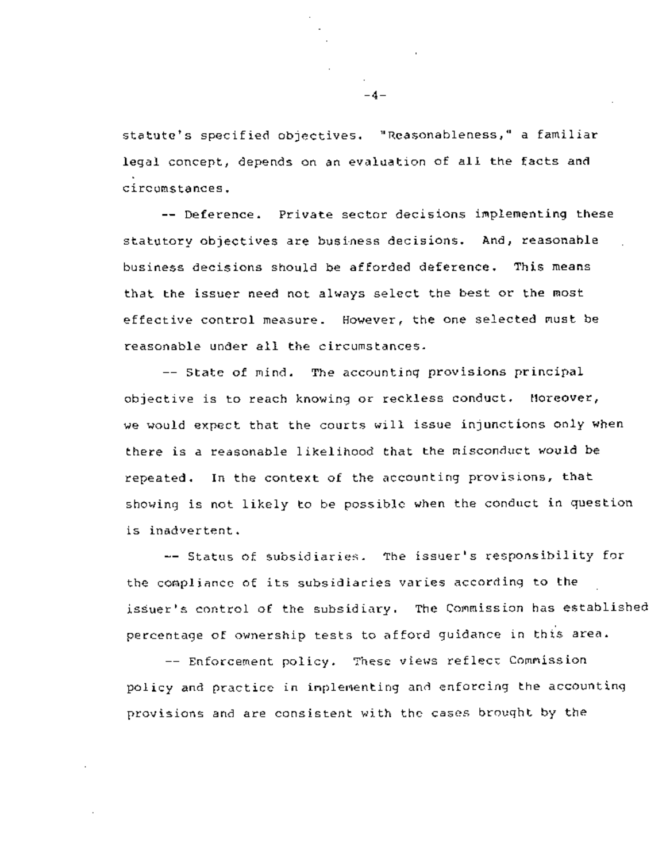statute's specified objectives. "Reasonableness," a familiar legal concept, depends on an evaluation of all the facts and circumstances.

-- Deference. Private sector decisions implementing these statutory objectives are business decisions. And, reasonable business decisions should be afforded deference. This means that the issuer need not always select the best or the most effective control measure. However, the one selected must be reasonable under all the circumstances.

-- State of mind. The accounting provisions principal objective is to reach knowing or reckless conduct. Moreover, we would expect that the courts will issue injunctions only when there is a reasonable likelihood that the misconduct would be repeated. In the context of the accounting provisions, that showing is not likely to be possible when the conduct in question is inadvertent.

-- Status of subsidiaries. The issuer's responsibility for the compliance of its subsidiaries varies according to the issuer's control of the subsidiary. The Commission has established percentage of ownership tests to afford guidance in this area.

-- Enforcement policy. These views reflect Commission policy and practice in implementing and enforcing the accounting provisions and are consistent with the cases brought by the

**-4-**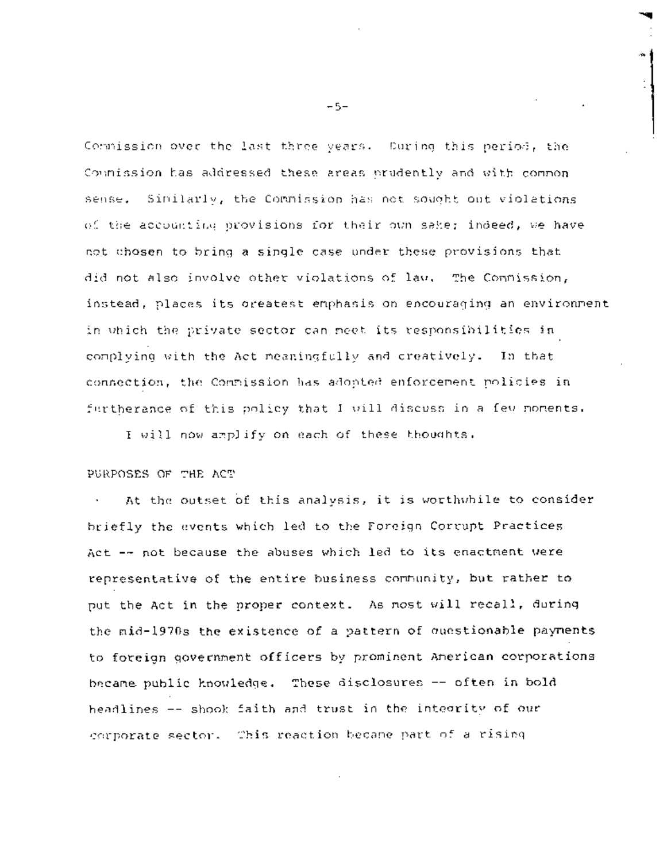Commission over the last three years. During this period, the Commission has addressed these areas prudently and with common sense. Similarly, the Commission has not sought out violations of the accounting provisions for their own sake; indeed, we have not chosen to bring a single case under these provisions that did not also involve other violations of law. The Commission, instead, places its greatest emphasis on encouraging an environment in which the private sector can meet its responsibilities in complying with the Act meaningfully and creatively. In that connection, the Commission has adoptea enforcement policies in furtherance of this policy that I will discuss in a few moments.

I will now amplify on each of these thoughts.

#### PURPOSES OF THE ACT

At the outset of this analysis, it is worthwhile to consider briefly the events which led to the Foreign Corrupt Practices Act-- not because the abuses which led to its enactment were representative of the entire business community, but rather to put the Act in the proper context. As most will recall, during the mid-1970s the existence of a pattern of questionable payments to foreign government officers by prominent American corporations became, public knowledge. These disclosures-- often in bold headlines -- shook faith and trust in the integrity, of our corporate sector. This reaction became part of arisinq

-5-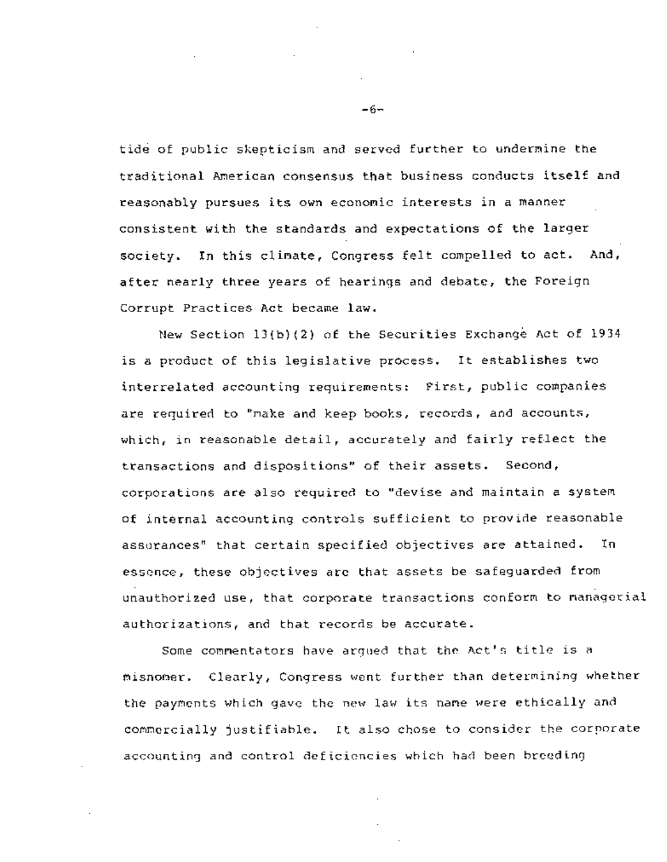tide of public skepticism and served further to undermine the traditional American consensus that business conducts itself and reasonably pursues its own economic interests in a manner consistent with the standards and expectations of the larger society. In this climate, Congress felt compelled to act. And, after nearly three years of hearings and debate, the Foreign Corrupt Practices Act became law.

New Section 13(b)(2) of the Securities Exchange Act of 1934 is a product of this legislative process. It establishes two interrelated accounting requirements: First, public companies are required to "make and keep books, records, and accounts, which, in reasonable detail, accurately and fairly reflect the transactions and dispositions" of their assets. Second, corporations are also required to "devise and maintain a system of internal accounting controls sufficient to provide reasonable assurances" that certain specified objectives are attained. In essence, these objectives are that assets be safeguarded from unauthorized use, that corporate transactions conform to managerial authorizations, and that records be accurate.

Some commentators have argued that the Act's title is a misnomer. Clearly, Congress went further than determining whether the payments which gave the new law its name were ethically and commercially justifiable. It also chose to consider the corporate accounting and contro! deficiencies which had been breeding

**-6-**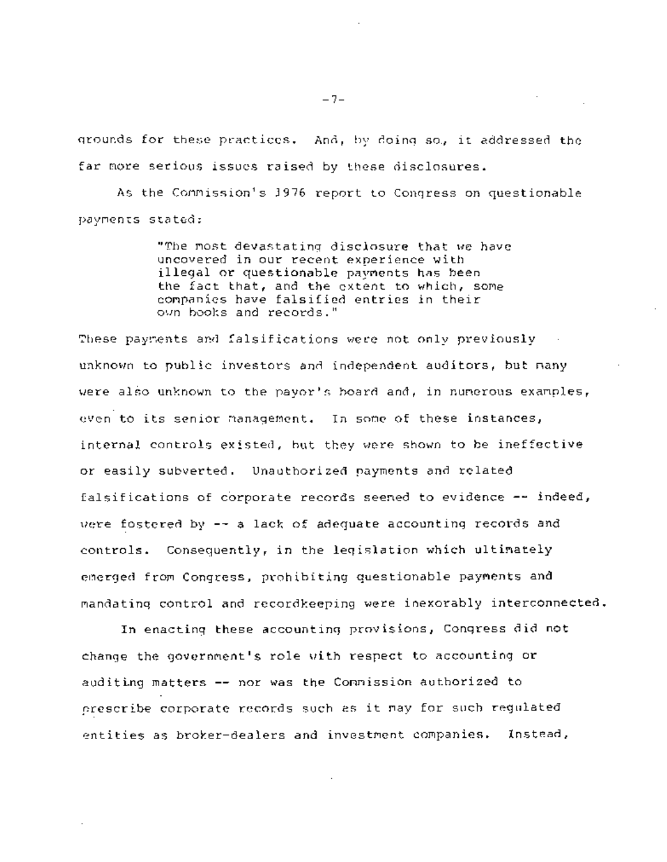grounds for these practices. And, by doing so, it addressed the far more serious issues raised by these disclosures.

As the Commission's 1976 report to Congress on questionable payments stated:

> "The most devastating disclosure that we have uncovered in our recent experience with illegal or questionable payments has been the fact that, and the extent to which, some companies have falsified entries in their own books and records."

These payments and falsifications were not only previously unknown to public investors and independent auditors, but many were also unknown to the payor's board and, in numerous examples, even to its senior management. In some of these instances, internal controls existed, but they were shown to be ineffective or easily subverted. Unauthorized payments and related falsifications of corporate records seemed to evidence -- indeed, were fostered by  $-\frac{1}{2}$  a lack of adequate accounting records and controls. Consequently, in the legislation which ultimately emerged from Congress, prohibiting questionable payments and mandating control and recordkeeping were inexorably interconnected.

In enacting these accounting provisions, Congress did not change the government's role with respect to accounting or auditing matters -- nor was the Commission authorized to prescribe corporate records such as it may for such regulated entities as broker-dealers and investment companies. Instead,

 $-7-$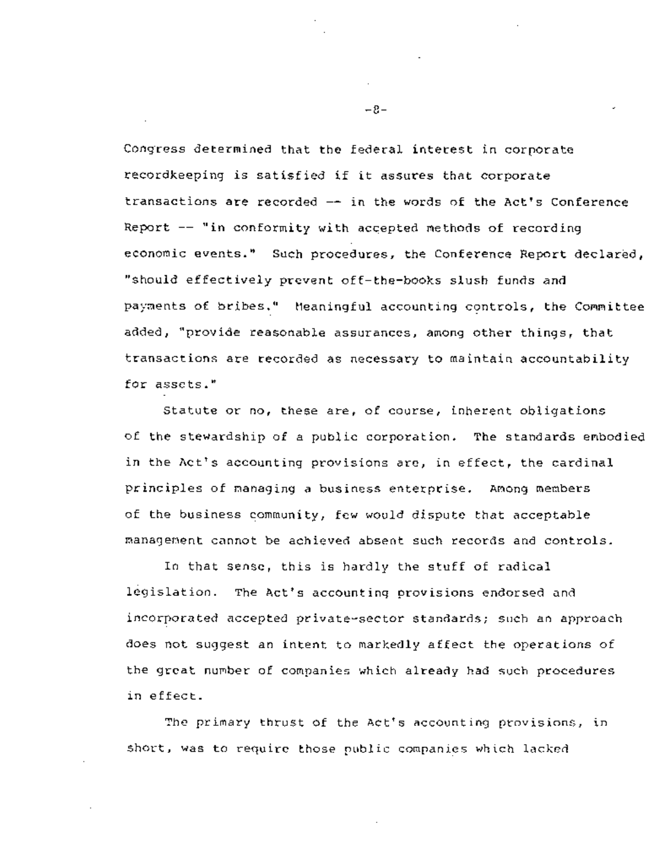Congress determined that the federal interest in corporate recordkeeping is satisfied if it assures that corporate transactions are recorded -- in the words of the Act's Conference Report -- "in conformity with accepted methods of recording economic events." Such procedures, the Conference Report declared, "should effectively prevent off-the-books slush funds and payments of bribes." Meaningful accounting controls, the Committee added, "provide reasonable assurances, among other things, that transactions are recorded as necessary to maintain accountability for assets. "

Statute or no, these are, of course, inherent obligations of the stewardship of a public corporation. The standards embodied in the Act's accounting provisions are, in effect, the cardinal principles of managing a business enterprise. Among members of the business community, few would dispute that acceptable management cannot be achieved absent such records and controls.

In that sense, this is hardly the stuff of radical legislation. The Act's accounting provisions endorsed and incorporated accepted private-sector standards; such an approach does not suggest an intent to markedly affect the operations of the great number of companies which already had such procedures in effect.

The primary thrust of the Act's accounting provisions, in short, was to require those public companies which lacked

**-8-**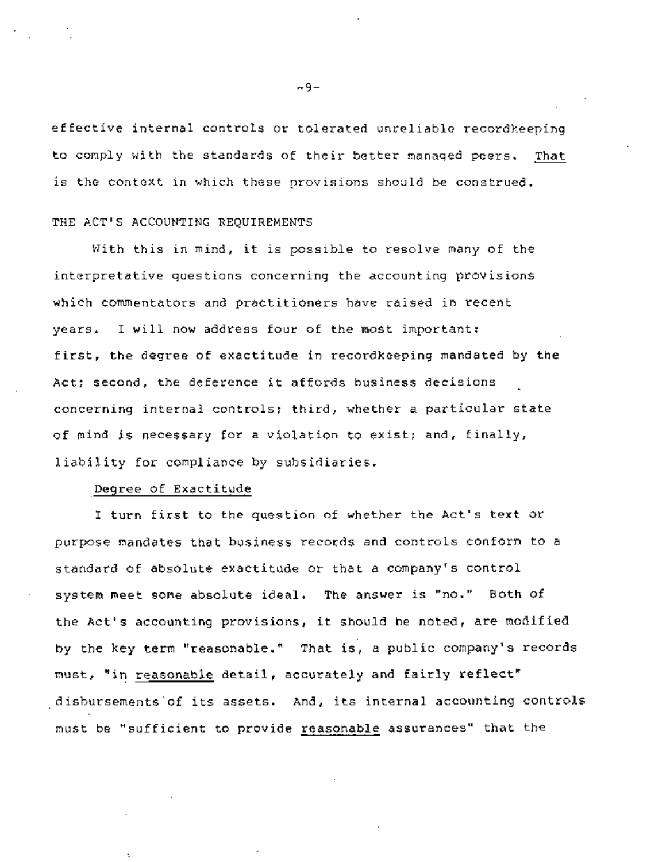effective internal controls or tolerated unreliable recordkeeping to comply with the standards of their better managed peers. That is the context in which these provisions should be construed.

#### THE ACT'S ACCOUNTING REQUIREMENTS

With this in mind, it is possible to resolve many of the interpretative questions concerning the accounting provisions which commentators and practitioners have raised in recent years. I will now address four of the most important: first, the degree of exactitude in recordkeeping mandated by the Act; second, the deference it affords business decisions concerning internal controls; third, whether a particular state of mind is necessary for a violation to exist; and, finally, liability for compliance by subsidiaries.

# Degree of Exactitude

I turn first to the question of whether the Act's text or purpose mandates that business records and controls conform to a standard of absolute exactitude or that a company's control system meet some absolute ideal. The answer is "no." Both of the Act's accounting provisions, it should be noted, are modified by the key term "reasonable." That is, a public company's records must, "in reasonable detail, accurately and fairly reflect" disbursements of its assets. And, its internal accounting controls must be "sufficient to provide reasonable assurances" that the

**-9-**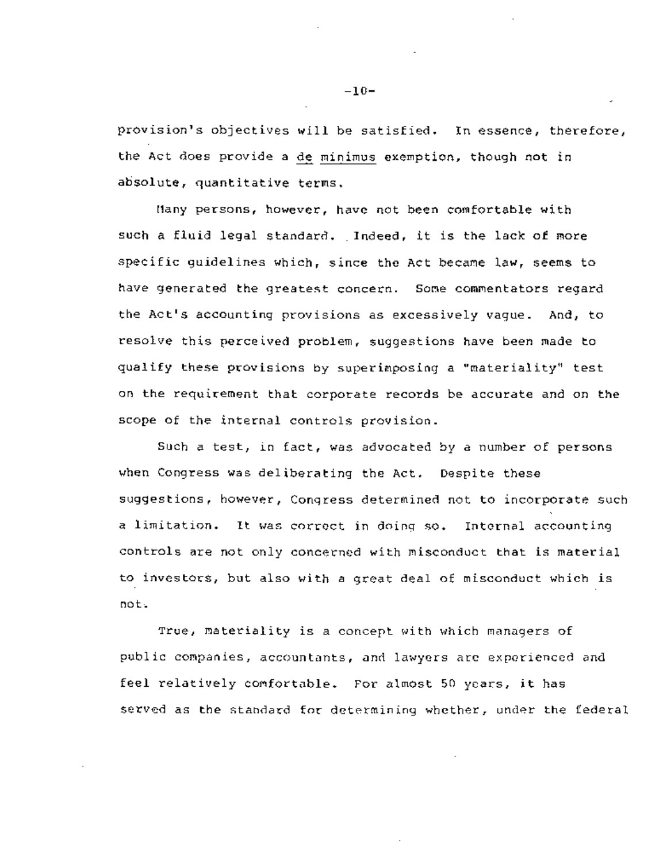provision's objectives will be satisfied, in essence, therefore, the Act does provide a de minimus exemption, though not in a6solute, quantitative terms.

Many persons, however, have not been comfortable with such a fluid legal standard. Indeed, it is the lack of more specific guidelines which, since the Act became law, seems to have generated the greatest concern. Some commentators regard the Act's accounting provisions as excessively vague. And, to resolve this perceived problem, suggestions have been made to qualify these provisions by superimposing a "materiality" test on the requirement that corporate records be accurate and on the scope of the internal controls provision.

Such a test, in fact, was advocated by a number of persons when Congress was deliberating the Act. Despite these suggestions, however, Congress determined not to incorporate such a limitation. It was correct in doing so. Internal accounting controls are not only concerned with misconduct that is material to investors, but also with a great deal of misconduct which is not~

True, materiality is a concept with which managers of public companies, accountants, and lawyers are experienced and feel relatively comfortable. For almost 50 years, it has served as the standard for determining whether, under the federal

-I0-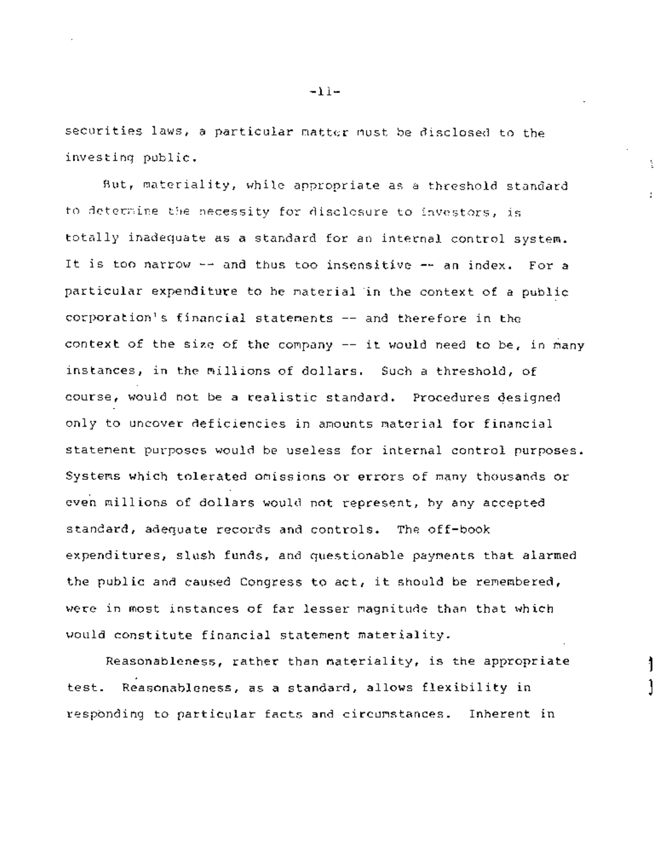securities laws, a particular matter must be disclosed to the investing public.

But, materiality, while appropriate as a threshold standard to determine the necessity for disclosure to investors, is totally inadequate as a standard for an internal control system. It is too narrow  $-$  and thus too insensitive  $-$  an index. For a particular expenditure to be material in the context of a public corporation's financial statements -- and therefore in the context of the size of the company -- it would need to be, in many instances, in the millions of dollars. Such a threshold, of course, would not be a realistic standard. Procedures designed only to uncover deficiencies in amounts material for financial statement purposes would be useless for internal control purposes. Systems which tolerated omissions or errors of many thousands or even millions of dollars would not represent, by any accepted standard, adequate records and controls. The off-book expenditures, slush funds, and questionable payments that alarmed the public and caused Congress to act, it should be remembered, were in most instances of far lesser magnitude than that which would constitute financial statement materiality.

Reasonableness, rather than materiality, is the appropriate test. Reasonableness, as a standard, allows flexibility in responding to particular facts and circumstances. Inherent in

÷

1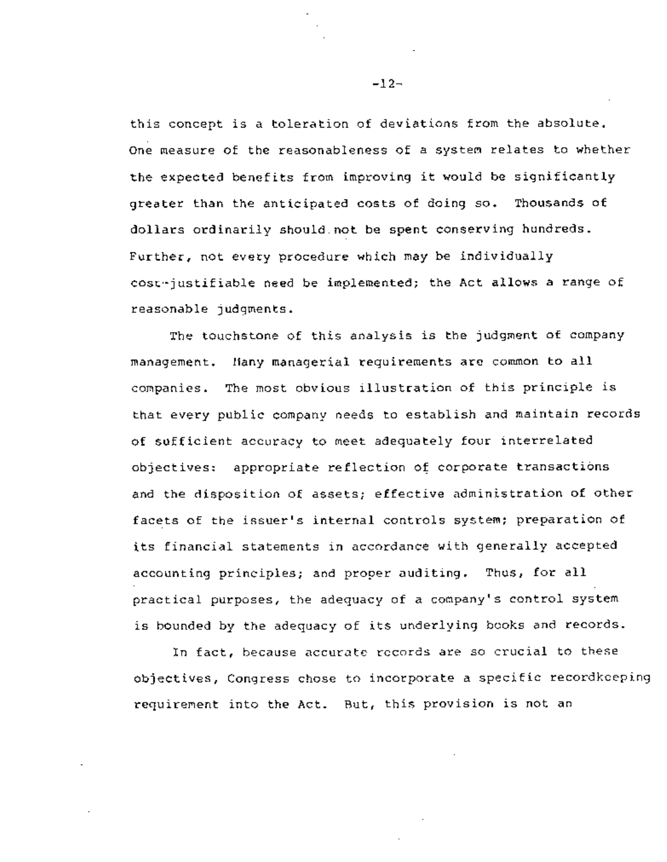this concept is a toleration of deviations from the absolute. One measure of the reasonableness of a system relates to whether the expected benefits from improving it would be significantly greater than the anticipated costs of doing so. Thousands of dollars ordinarily should not be spent conserving hundreds. Further, not every procedure which may be individually cost-justifiable need be implemented; the Act allows a range of reasonable judgments.

The touchstone of this analysis is the judgment of company management. Hany managerial requirements are common to all companies. The most obvious illustration of this principle is that every public company needs to establish and maintain records of sufficient accuracy to meet adequately four interrelated objectives: appropriate reflection of corporate transactions and the disposition of assets; effective administration of other facets of the issuer's internal controls system; preparation of its financial statements in accordance with generally accepted accounting principles; and proper auditing. Thus, for all practical purposes, the adequacy of a company's control system is bounded by the adequacy of its underlying books and records.

In fact, because accurate records are so crucial to these objectives, Congress chose to incorporate a specific recordkeeping requirement into the Act. But, this provision is not an

-12-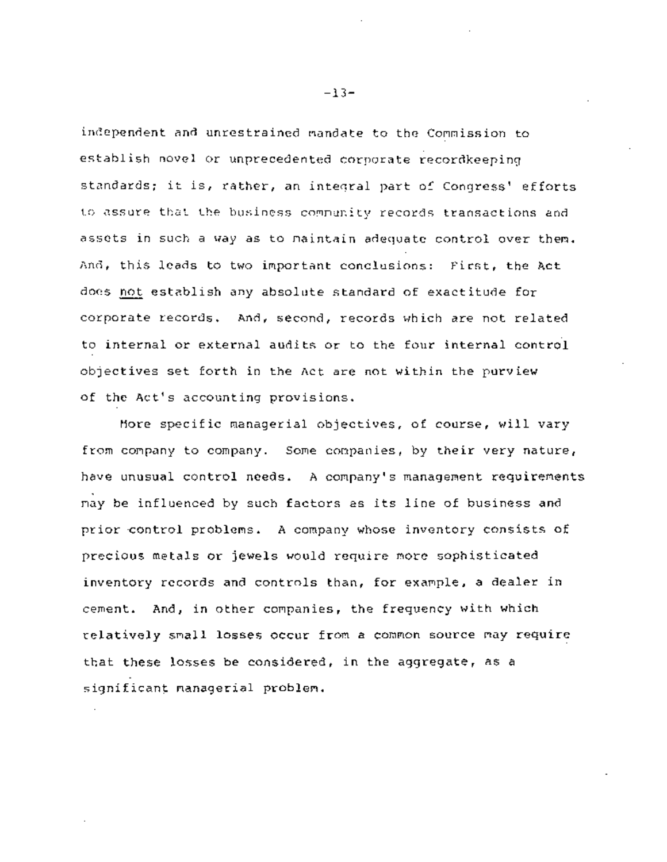independent and unrestrained mandate to the Commission to establish novel or unprecedented corporate recordkeeping standards; it is, rather, an integral part of Congress' efforts to assure that the business community records transactions and assets in such a way as to maintain adequate control over them. And, this leads to two important conclusions: First, the Act does not establish any absolute standard of exactitude for corporate records. And, second, records which are not related to internal or external audits or to the four internal control objectives set forth in the Act are not within the purview of the Act's accounting provisions.

More specific managerial objectives, of course, will vary from company to company. Some companies, by their very nature, have unusual control needs. A company's management requirements may be influenced by such factors as its line of business and prior control problems. A company whose inventory consists of precious metals or jewels would require more sophisticated inventory records and controls than, for example, a dealer in cement. And, in other companies, the frequency with which relatively small losses occur from a common source may require that these !osses be considered, in the aggregate, as a significant managerial problem.

-13-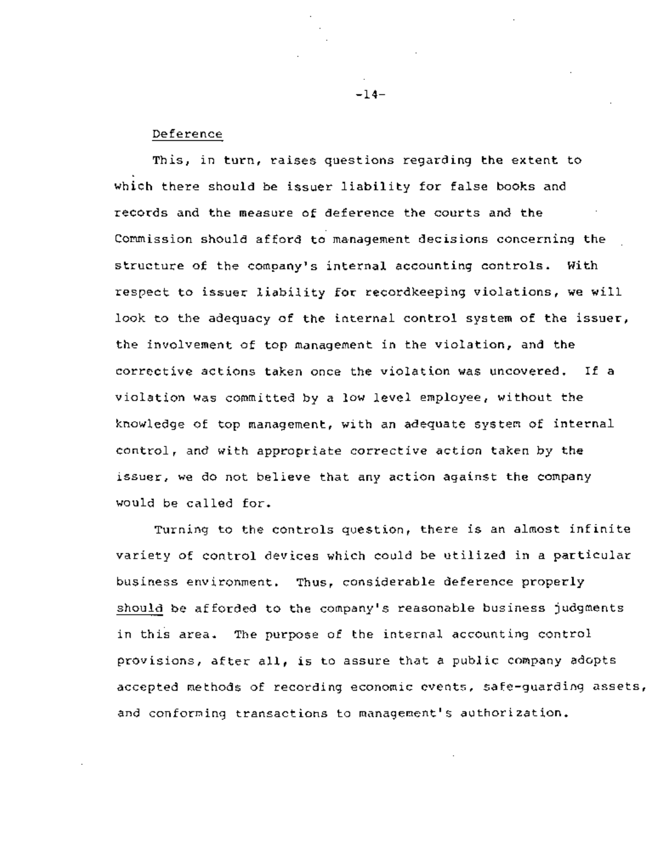## Deference

This, in turn, raises questions regarding the extent to which there should be issuer liability for false books and records and the measure of deference the courts and the Commission should afford to management decisions concerning the structure of the company's internal accounting controls. With respect to issuer liability for recordkeeping violations, we will look to the adequacy of the internal control system of the issuer, the involvement of top management in the violation, and the corrective actions taken once the violation was uncovered. If a violation was committed by a low level employee, without the knowledge of top management, with an adequate system of internal control, and with appropriate corrective action taken by the issuer, we do not believe that any action against the company would be called for.

Turning to the controls question, there is an almost infinite variety of control devices which could be utilized in a particular business environment. Thus, considerable deference properly should be afforded to the company's reasonable business judgments in this area. The purpose of the internal accounting control provisions, after all, is to assure that a public company adopts accepted methods of recording economic events, safe-guarding assets, and conforming transactions to management's authorization.

 $-14-$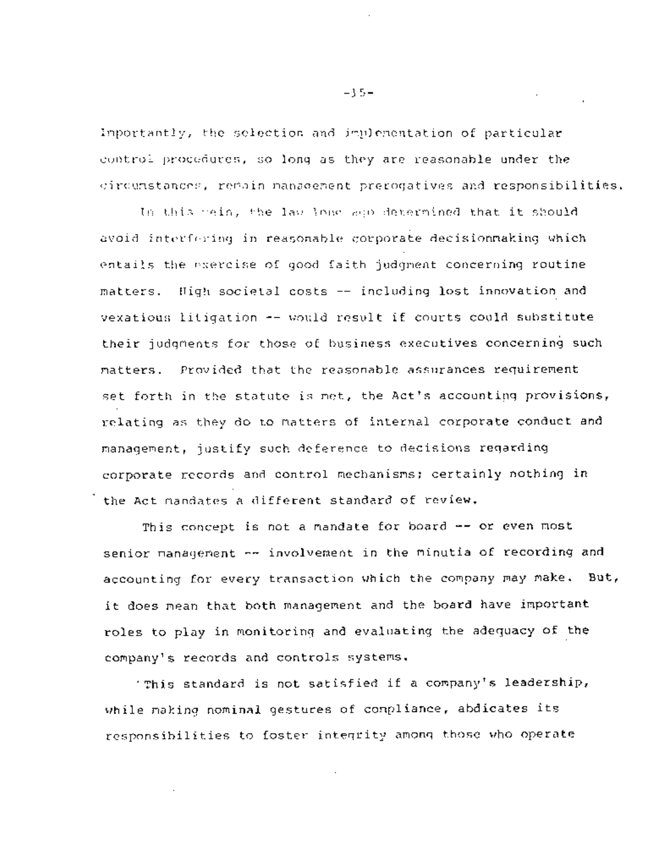Importantly, the selection and implementation of particular control procedures, so long as they are reasonable under the circumstances, remain management prerogatives and responsibilities.

In this wein, the law long ago determined that it should avoid interfe~:ing in reasonable corporate decisionmaking which entails the exercise of good faith judgment concerning routine matters. High societal costs -- including lost innovation and vexatious litigation -- would result if courts could substitute their judgments for those of business executives concerning such matters. Provided that the reasonable assurances requirement set forth in the statute is met, the Act's accounting provisions, relating as they do to matters of internal corporate conduct and management, justify such deference to decisions regarding corporate records and control mechanisms; certainly nothing in the Act mandates a different standard of review.

This concept is not a mandate for board -- or even most senior management -- involvement in the minutia of recording and accounting for every transaction which the company may make. But, it does mean that both management and the board have important roles to play in monitoring and evaluating the adequacy of the company's records and controls systems.

"This standard is not satisfied if a company"s leadership, while making nominal gestures of compliance, abdicates its responsibilities to foster integrity among those who operate

-15-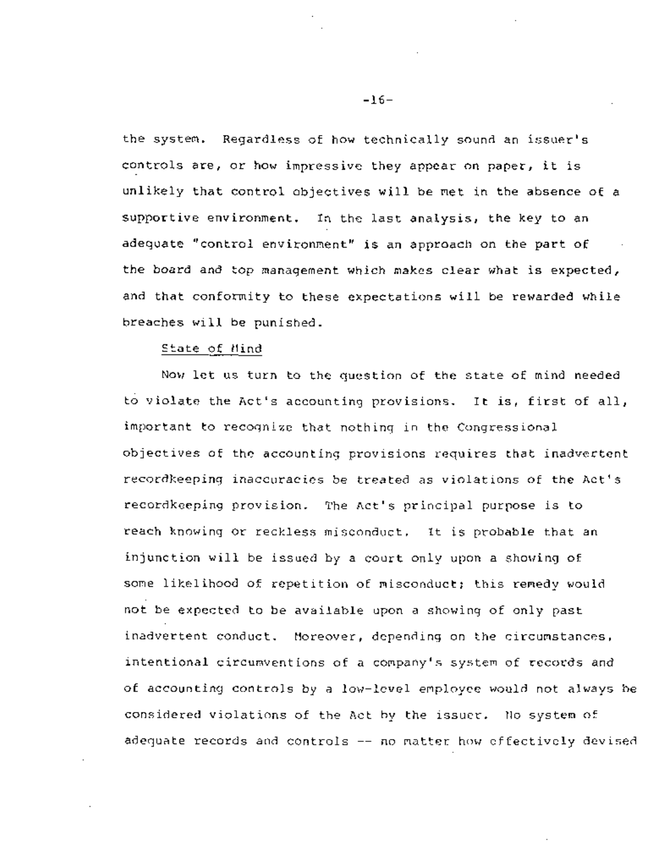the system. Regardless of how technically sound an issuer's controls are, or how impressive they appear on paper, it is unlikely that control objectives will be met in the absence of a supportive environment. In the last analysis, the key to an adequate "control environment" is an approach on the part Of the board and top management which makes clear what is expected, and that conformity to these expectations will be rewarded while breaches will be punished.

## State of Mind

Now let us turn to the question of the state of mind needed to violate the Act's accounting provisions. It is, first of all, important to recognize that nothing in the Congressional objectives of the accounting provisions requires that inadvertent recordkeeping inaccuracies be treated as violations of the Act's recordkeeping provision. The Act's principal purpose is to reach knowing or reckless misconduct. It is probable that an injunction will be issued by a court only upon a showing of some likelihood of repetition of misconduct; this remedy would not be expected to be available upon a showing of only past inadvertent conduct. Moreover, depending on the Circumstances, intentional circumventions of a company's system of records and of accounting controls by a low-level employee would not always be considered violations of the Act by the issuer. No system of adequate records and controls -- no matter how effectively devised

-16-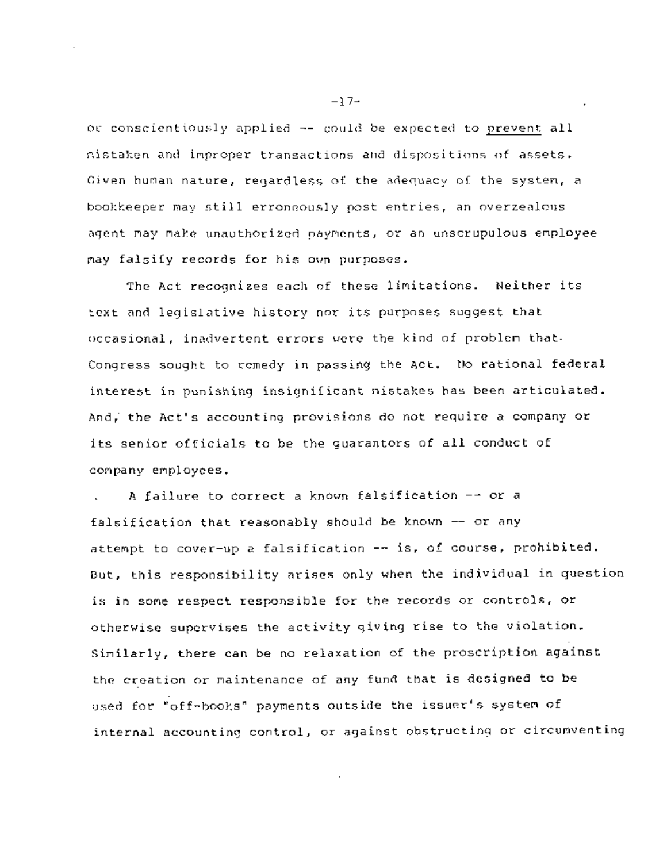or conscientiously applied -- could be expected to prevent all mistaken and improper transactions and dispositions of assets. Given human nature, regardless of the adequacy of the system, a bookkeeper may still erroneously post entries, an overzealous agent may make unauthorized payments, or an unscrupulous employee may falsify records for his own purposes.

The Act recognizes each of these limitations. Neither its text and legislative history nor its purposes suggest that occasional, inadvertent errors were the kind of problem that Congress sought to remedy in passing the Act. No rational federal interest in punishing insignificant mistakes has been articulated. And, the Act's accounting provisions do not require a company or its senior officials to be the guarantors of all conduct of company employees.

A failure to correct a known falsification -- or a falsification that reasonably should be known -- or any attempt to cover-up a falsification -- is, of course, prohibited. But, this responsibility arises only when the individual in question is in some respect responsible for the records or controls, or otherwise supervises the activity giving rise to the violation. Similarly, there can be no relaxation of the proscription against the creation or maintenance of any fund that is designed to be used for "off-books" payments outside the issuer's system of internal accounting control, or against obstructing or circumventing

 $-17-$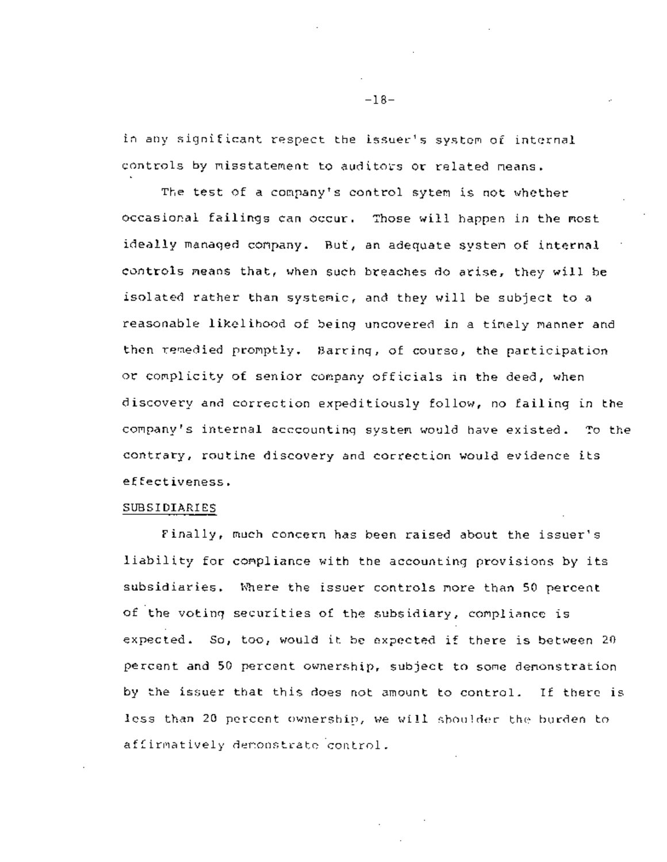in any significant respect the issuer's system of internal controls by misstatement to auditors or related means.

The test of a company's control sytem is not whether occasional failings can occur. Those will happen in the most ideally managed company. But, an adequate system of internal controls means that, when such breaches do arise, they will be isolated rather than systemic, and they will be subject to a reasonable likelihood of being uncovered in a timely manner and then remedied promptly. Barring, of course, the participation or complicity of senior company officials in the deed, when discovery and correction expeditiously follow, no failing in the company's internal acccounting system would have existed. To the contrary, routine discovery and correction would evidence its effectiveness.

#### SUBSIDIARIES

Finally, much concern has been raised about the issuer's liability for compliance with the accounting provisions by its subsidiaries. Where the issuer controls more than 50 percent of the voting securities of the subsidiary, compliance is expected. So, too, would it be expected if there is between 20 percent and 50 percent ownership, subject to some demonstration by the issuer that this does not amount to control. If there is less than 20 percent ownership, we will shoulder the burden to affirmatively demonstrate control.

-18-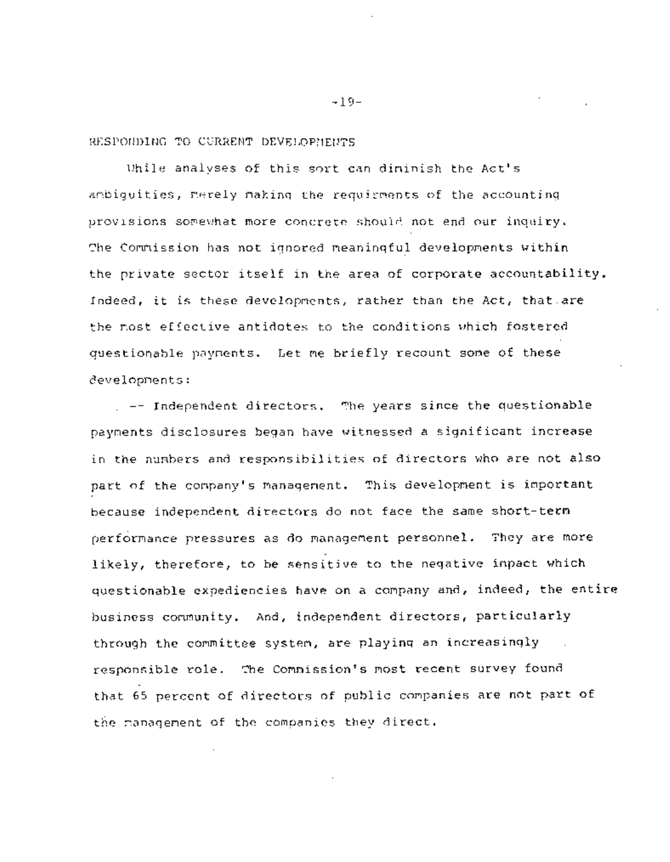RESPONDING TO CURRENT DEVELOPMENTS

~Thile analvses of this sort can diminish the Act's ambiguities, merely making the requirments of the accounting provisions somewhat more concrete should not end our inquiry. The Commission has not ignored meaningful developments within the private sector itself in the area of corporate accountability. Indeed, it is these developments, rather than the Act, that are the most effective antidotes to the conditions which fostered questionable payments. Let me briefly recount some of these developments:

-- Independent directors. The years since the questionable payments disclosures began have witnessed a significant increase in the numbers and responsibilities of directors who are not also part of thecompany's management. This development is important because independent directors do not face the same short-term performance pressures as do management personnel. They are more likely, therefore, to be sensitive to the negative impact which questionable expediencies have on a company and, indeed, the entire business community. And, independent directors, particularly through the committee system, are playing an increasingly responsible role. The commission's m0st recent survey found that 65 perceht of directors of public companies are not part of the management of the companies they direct.

-19-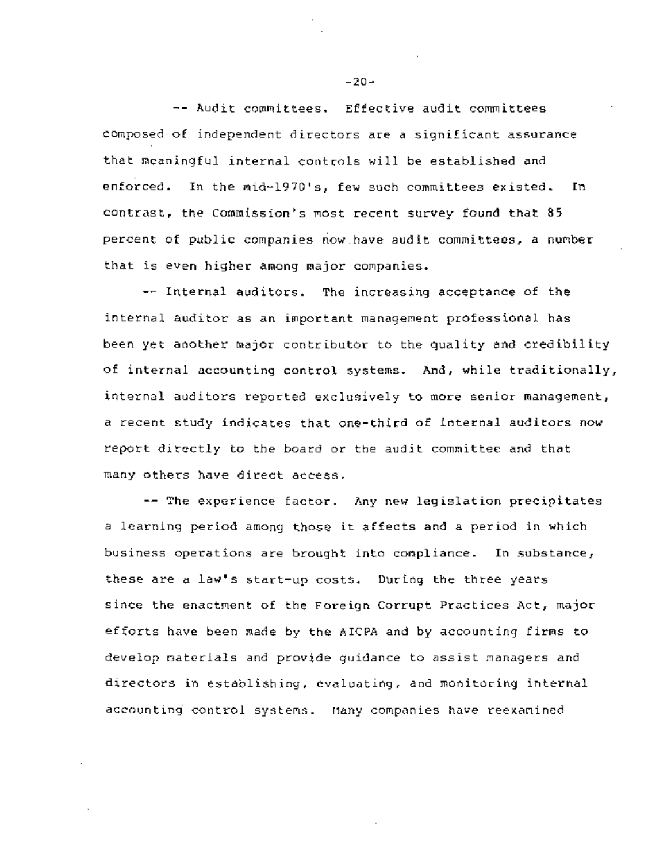-- Audit committees. Effective audit committees composed of independent directors are a significant assurance that meaningful internal controls will be established and enforced. In the mid-1970's, few such committees existed. In In. contrast, the Commission's most recent survey found that 85 percent of public companies now have audit committees, a number that is even higher among major companies.

-- Internal auditors. The increasing acceptance of the internal auditor as an important management professional has been yet another major contributor to the quality and credibility of internal accounting control systems. And, while traditionally, internal auditors reported exclusively to more senior management, a recent study indicates that one-third of internal auditors now report directly to the board or the audit committee and that many others have direct access.

--The experience factor. Any new legislation precipitates a learning period among those it affects and a period in which business operations are brought into compliance. In substance, these are a law's start-up costs. During the three years since the enactment of the Foreign Corrupt Practices Act, major efforts have been made by the AICPA and by accounting firms to develop materials and provide guidance to assist managers and directors in establishing, evaluating, and monitoring internal accounting control systems. Many companies have reexamined

-20-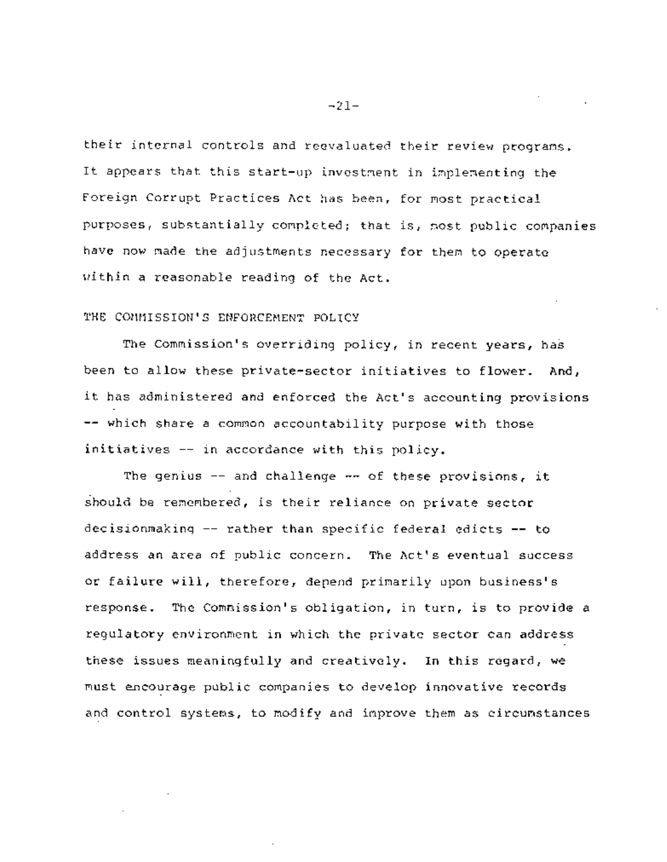their internal controls and reevaluated their review programs. It appears that this start-up investment in implementing the Foreign Corrupt Practices Act has been, for most practica! purposes, substantially completed; that is, most public companies have now made the adjustments necessary for them to operate within a reasonable reading of the Act.

# THE COMMISSION'S ENFORCEMENT POLICY

The Commission's overriding policy, in recent years, has been to allow these private-sector initiatives to flower. And, it has administered and enforced the Act's accounting provisions -- which share a common accountability purpose with those initiatives -- in accordance with this policy.

The genius  $-$  and challenge  $-$  of these provisions, it should be remembered, is their reliance on private sector decisionmaking -- rather than specific federal edicts -- to address an area of public concern. The Act's eventual success or failure will, therefore, depend primarily upon business's response. The Commission's obligation, in turn, is to provide a regulatory environment in which the private sector can address these issues meaningfully and creatively. In this regard, we must encourage public companies to develop innovative records and control systems, to modify and improve them as circumstances

-21-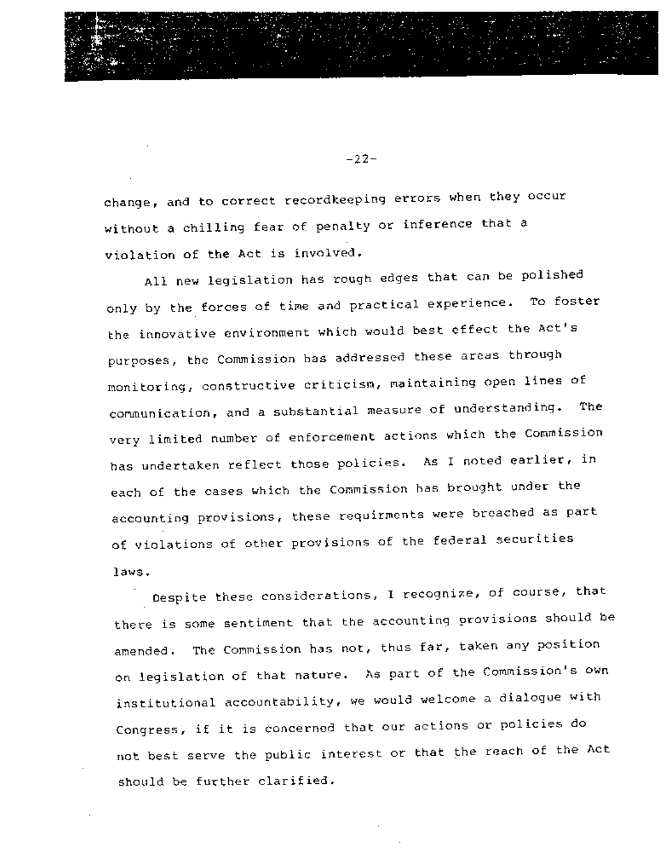change, and to correct recordkeeping errors when they occur without a chilling fear of penalty or inference that a violation of the Act is involved.

All new legislation has rough edges that can be polished only by the forces of time and practical experience. To foster the innovative environment which would best effect the Act's purposes, the Commission has addressed these areas through monitoring, constructive criticism, maintaining open lines of communication, and a substantial measure of understanding. The very limited number of enforcement actions which the Commission has undertaken reflect those policies. As I noted earlier, in each of the cases which the Commission has brought under the accounting provisions, these requirments were breached as part of violations of other provisions of the federal securities laws.

Despite these considerations, I recognize, of course, that there is some sentiment that the accounting provisions should be amended. The Commission has not, thus far, taken any position on legislation of that nature. As part of the Commission's own institutional accountability, we would welcome a dialogue with Congress, if it is concerned that our actions or policies do not best serve the public interest or that the reach of the Act should be further clarified.

 $-22-$